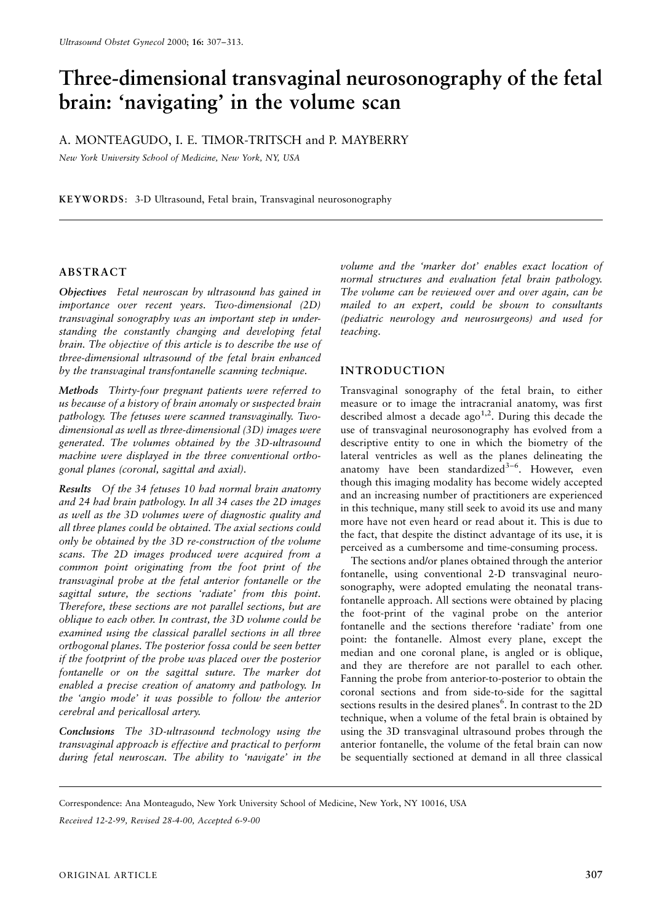# Three-dimensional transvaginal neurosonography of the fetal brain: 'navigating' in the volume scan

A. MONTEAGUDO, I. E. TIMOR-TRITSCH and P. MAYBERRY

New York University School of Medicine, New York, NY, USA

KEYWORDS: 3-D Ultrasound, Fetal brain, Transvaginal neurosonography

## **ABSTRACT**

Objectives Fetal neuroscan by ultrasound has gained in importance over recent years. Two-dimensional (2D) transvaginal sonography was an important step in understanding the constantly changing and developing fetal brain. The objective of this article is to describe the use of three-dimensional ultrasound of the fetal brain enhanced by the transvaginal transfontanelle scanning technique.

Methods Thirty-four pregnant patients were referred to us because of a history of brain anomaly or suspected brain pathology. The fetuses were scanned transvaginally. Twodimensional as well as three-dimensional (3D) images were generated. The volumes obtained by the 3D-ultrasound machine were displayed in the three conventional orthogonal planes (coronal, sagittal and axial).

Results Of the 34 fetuses 10 had normal brain anatomy and 24 had brain pathology. In all 34 cases the 2D images as well as the 3D volumes were of diagnostic quality and all three planes could be obtained. The axial sections could only be obtained by the 3D re-construction of the volume scans. The 2D images produced were acquired from a common point originating from the foot print of the transvaginal probe at the fetal anterior fontanelle or the sagittal suture, the sections 'radiate' from this point. Therefore, these sections are not parallel sections, but are oblique to each other. In contrast, the 3D volume could be examined using the classical parallel sections in all three orthogonal planes. The posterior fossa could be seen better if the footprint of the probe was placed over the posterior fontanelle or on the sagittal suture. The marker dot enabled a precise creation of anatomy and pathology. In the 'angio mode' it was possible to follow the anterior cerebral and pericallosal artery.

Conclusions The 3D-ultrasound technology using the transvaginal approach is effective and practical to perform during fetal neuroscan. The ability to 'navigate' in the volume and the 'marker dot' enables exact location of normal structures and evaluation fetal brain pathology. The volume can be reviewed over and over again, can be mailed to an expert, could be shown to consultants (pediatric neurology and neurosurgeons) and used for teaching.

### **INTRODUCTION**

Transvaginal sonography of the fetal brain, to either measure or to image the intracranial anatomy, was first described almost a decade  $a\epsilon_0^{1,2}$ . During this decade the use of transvaginal neurosonography has evolved from a descriptive entity to one in which the biometry of the lateral ventricles as well as the planes delineating the anatomy have been standardized<sup>3-6</sup>. However, even though this imaging modality has become widely accepted and an increasing number of practitioners are experienced in this technique, many still seek to avoid its use and many more have not even heard or read about it. This is due to the fact, that despite the distinct advantage of its use, it is perceived as a cumbersome and time-consuming process.

The sections and/or planes obtained through the anterior fontanelle, using conventional 2-D transvaginal neurosonography, were adopted emulating the neonatal transfontanelle approach. All sections were obtained by placing the foot-print of the vaginal probe on the anterior fontanelle and the sections therefore 'radiate' from one point: the fontanelle. Almost every plane, except the median and one coronal plane, is angled or is oblique, and they are therefore are not parallel to each other. Fanning the probe from anterior-to-posterior to obtain the coronal sections and from side-to-side for the sagittal sections results in the desired planes<sup>6</sup>. In contrast to the 2D technique, when a volume of the fetal brain is obtained by using the 3D transvaginal ultrasound probes through the anterior fontanelle, the volume of the fetal brain can now be sequentially sectioned at demand in all three classical

Correspondence: Ana Monteagudo, New York University School of Medicine, New York, NY 10016, USA

Received 12-2-99, Revised 28-4-00, Accepted 6-9-00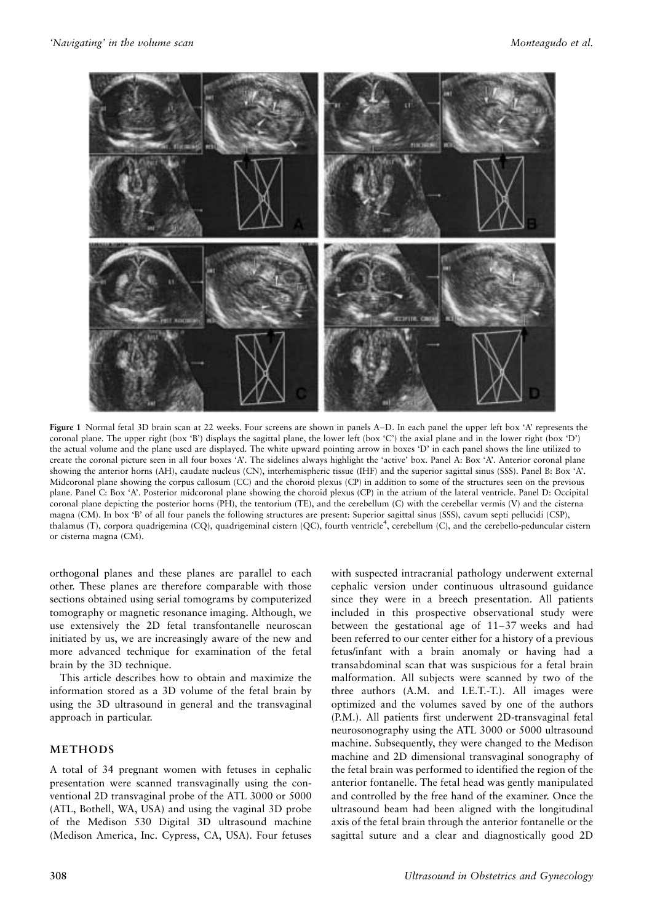

Figure 1 Normal fetal 3D brain scan at 22 weeks. Four screens are shown in panels A-D. In each panel the upper left box 'A' represents the coronal plane. The upper right (box 'B') displays the sagittal plane, the lower left (box 'C') the axial plane and in the lower right (box 'D') the actual volume and the plane used are displayed. The white upward pointing arrow in boxes 'D' in each panel shows the line utilized to create the coronal picture seen in all four boxes 'A'. The sidelines always highlight the 'active' box. Panel A: Box 'A'. Anterior coronal plane showing the anterior horns (AH), caudate nucleus (CN), interhemispheric tissue (IHF) and the superior sagittal sinus (SSS). Panel B: Box 'A'. Midcoronal plane showing the corpus callosum (CC) and the choroid plexus (CP) in addition to some of the structures seen on the previous plane. Panel C: Box 'A'. Posterior midcoronal plane showing the choroid plexus (CP) in the atrium of the lateral ventricle. Panel D: Occipital coronal plane depicting the posterior horns (PH), the tentorium (TE), and the cerebellum (C) with the cerebellar vermis (V) and the cisterna magna (CM). In box 'B' of all four panels the following structures are present: Superior sagittal sinus (SSS), cavum septi pellucidi (CSP), thalamus (T), corpora quadrigemina (CQ), quadrigeminal cistern (QC), fourth ventricle<sup>4</sup>, cerebellum (C), and the cerebello-peduncular cistern or cisterna magna (CM).

orthogonal planes and these planes are parallel to each other. These planes are therefore comparable with those sections obtained using serial tomograms by computerized tomography or magnetic resonance imaging. Although, we use extensively the 2D fetal transfontanelle neuroscan initiated by us, we are increasingly aware of the new and more advanced technique for examination of the fetal brain by the 3D technique.

This article describes how to obtain and maximize the information stored as a 3D volume of the fetal brain by using the 3D ultrasound in general and the transvaginal approach in particular.

# **METHODS**

A total of 34 pregnant women with fetuses in cephalic presentation were scanned transvaginally using the conventional 2D transvaginal probe of the ATL 3000 or 5000 (ATL, Bothell, WA, USA) and using the vaginal 3D probe of the Medison 530 Digital 3D ultrasound machine (Medison America, Inc. Cypress, CA, USA). Four fetuses with suspected intracranial pathology underwent external cephalic version under continuous ultrasound guidance since they were in a breech presentation. All patients included in this prospective observational study were between the gestational age of 11-37 weeks and had been referred to our center either for a history of a previous fetus/infant with a brain anomaly or having had a transabdominal scan that was suspicious for a fetal brain malformation. All subjects were scanned by two of the three authors (A.M. and I.E.T.-T.). All images were optimized and the volumes saved by one of the authors (P.M.). All patients first underwent 2D-transvaginal fetal neurosonography using the ATL 3000 or 5000 ultrasound machine. Subsequently, they were changed to the Medison machine and 2D dimensional transvaginal sonography of the fetal brain was performed to identified the region of the anterior fontanelle. The fetal head was gently manipulated and controlled by the free hand of the examiner. Once the ultrasound beam had been aligned with the longitudinal axis of the fetal brain through the anterior fontanelle or the sagittal suture and a clear and diagnostically good 2D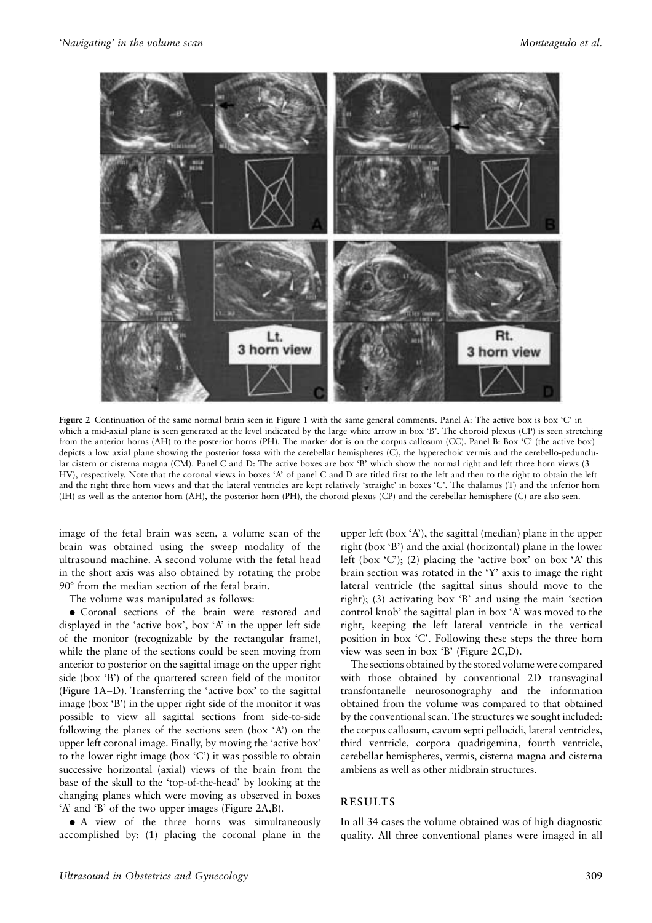

Figure 2 Continuation of the same normal brain seen in Figure 1 with the same general comments. Panel A: The active box is box 'C' in which a mid-axial plane is seen generated at the level indicated by the large white arrow in box 'B'. The choroid plexus (CP) is seen stretching from the anterior horns (AH) to the posterior horns (PH). The marker dot is on the corpus callosum (CC). Panel B: Box 'C' (the active box) depicts a low axial plane showing the posterior fossa with the cerebellar hemispheres (C), the hyperechoic vermis and the cerebello-pedunclular cistern or cisterna magna (CM). Panel C and D: The active boxes are box 'B' which show the normal right and left three horn views (3 HV), respectively. Note that the coronal views in boxes 'A' of panel C and D are titled first to the left and then to the right to obtain the left and the right three horn views and that the lateral ventricles are kept relatively 'straight' in boxes 'C'. The thalamus (T) and the inferior horn (IH) as well as the anterior horn (AH), the posterior horn (PH), the choroid plexus (CP) and the cerebellar hemisphere (C) are also seen.

image of the fetal brain was seen, a volume scan of the brain was obtained using the sweep modality of the ultrasound machine. A second volume with the fetal head in the short axis was also obtained by rotating the probe  $90^{\circ}$  from the median section of the fetal brain.

The volume was manipulated as follows:

• Coronal sections of the brain were restored and displayed in the 'active box', box 'A' in the upper left side of the monitor (recognizable by the rectangular frame), while the plane of the sections could be seen moving from anterior to posterior on the sagittal image on the upper right side (box 'B') of the quartered screen field of the monitor (Figure 1A–D). Transferring the 'active box' to the sagittal image (box 'B') in the upper right side of the monitor it was possible to view all sagittal sections from side-to-side following the planes of the sections seen (box 'A') on the upper left coronal image. Finally, by moving the 'active box' to the lower right image (box 'C') it was possible to obtain successive horizontal (axial) views of the brain from the base of the skull to the 'top-of-the-head' by looking at the changing planes which were moving as observed in boxes 'A' and 'B' of the two upper images (Figure 2A,B).

• A view of the three horns was simultaneously accomplished by: (1) placing the coronal plane in the

upper left (box 'A'), the sagittal (median) plane in the upper right (box 'B') and the axial (horizontal) plane in the lower left (box  $C'$ ); (2) placing the 'active box' on box 'A' this brain section was rotated in the 'Y' axis to image the right lateral ventricle (the sagittal sinus should move to the right); (3) activating box 'B' and using the main 'section control knob' the sagittal plan in box 'A' was moved to the right, keeping the left lateral ventricle in the vertical position in box 'C'. Following these steps the three horn view was seen in box 'B' (Figure 2C,D).

The sections obtained by the stored volume were compared with those obtained by conventional 2D transvaginal transfontanelle neurosonography and the information obtained from the volume was compared to that obtained by the conventional scan. The structures we sought included: the corpus callosum, cavum septi pellucidi, lateral ventricles, third ventricle, corpora quadrigemina, fourth ventricle, cerebellar hemispheres, vermis, cisterna magna and cisterna ambiens as well as other midbrain structures.

# **RESULTS**

In all 34 cases the volume obtained was of high diagnostic quality. All three conventional planes were imaged in all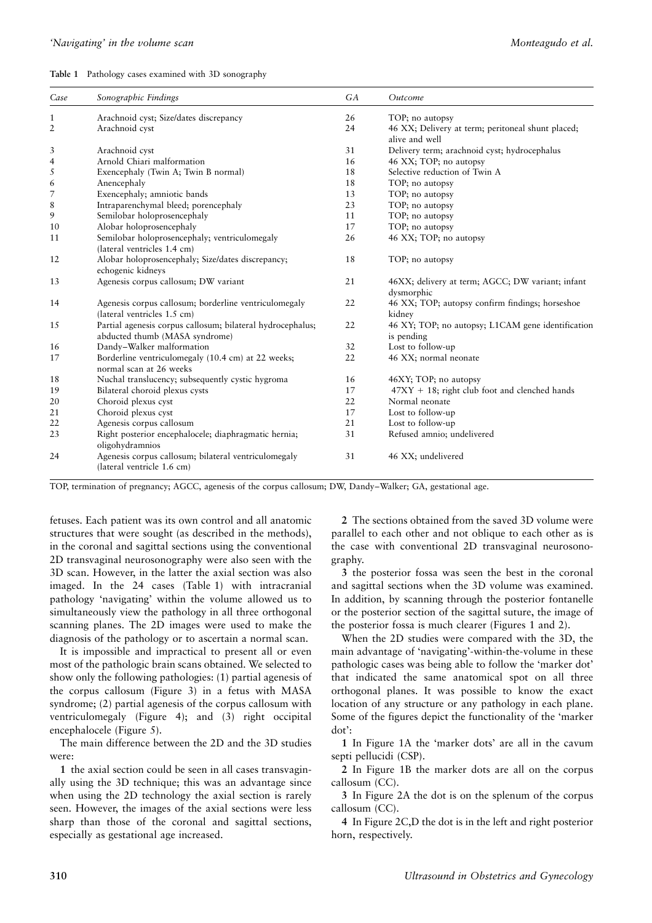| Table 1 Pathology cases examined with 3D sonography |  |  |  |
|-----------------------------------------------------|--|--|--|
|                                                     |  |  |  |

| Case | Sonographic Findings                                                                         | GA | Outcome                                                         |
|------|----------------------------------------------------------------------------------------------|----|-----------------------------------------------------------------|
| 1    | Arachnoid cyst; Size/dates discrepancy                                                       | 26 | TOP; no autopsy                                                 |
| 2    | Arachnoid cyst                                                                               | 24 | 46 XX; Delivery at term; peritoneal shunt placed;               |
|      |                                                                                              |    | alive and well                                                  |
| 3    | Arachnoid cyst                                                                               | 31 | Delivery term; arachnoid cyst; hydrocephalus                    |
| 4    | Arnold Chiari malformation                                                                   | 16 | 46 XX; TOP; no autopsy                                          |
| 5    | Exencephaly (Twin A; Twin B normal)                                                          | 18 | Selective reduction of Twin A                                   |
| 6    | Anencephaly                                                                                  | 18 | TOP; no autopsy                                                 |
| 7    | Exencephaly; amniotic bands                                                                  | 13 | TOP; no autopsy                                                 |
| 8    | Intraparenchymal bleed; porencephaly                                                         | 23 | TOP; no autopsy                                                 |
| 9    | Semilobar holoprosencephaly                                                                  | 11 | TOP; no autopsy                                                 |
| 10   | Alobar holoprosencephaly                                                                     | 17 | TOP; no autopsy                                                 |
| 11   | Semilobar holoprosencephaly; ventriculomegaly<br>(lateral ventricles 1.4 cm)                 | 26 | 46 XX; TOP; no autopsy                                          |
| 12   | Alobar holoprosencephaly; Size/dates discrepancy;<br>echogenic kidneys                       | 18 | TOP; no autopsy                                                 |
| 13   | Agenesis corpus callosum; DW variant                                                         | 21 | 46XX; delivery at term; AGCC; DW variant; infant<br>dysmorphic  |
| 14   | Agenesis corpus callosum; borderline ventriculomegaly<br>(lateral ventricles 1.5 cm)         | 22 | 46 XX; TOP; autopsy confirm findings; horseshoe<br>kidney       |
| 15   | Partial agenesis corpus callosum; bilateral hydrocephalus;<br>abducted thumb (MASA syndrome) | 22 | 46 XY; TOP; no autopsy; L1CAM gene identification<br>is pending |
| 16   | Dandy-Walker malformation                                                                    | 32 | Lost to follow-up                                               |
| 17   | Borderline ventriculomegaly (10.4 cm) at 22 weeks;<br>normal scan at 26 weeks                | 22 | 46 XX; normal neonate                                           |
| 18   | Nuchal translucency; subsequently cystic hygroma                                             | 16 | 46XY; TOP; no autopsy                                           |
| 19   | Bilateral choroid plexus cysts                                                               | 17 | $47XY + 18$ ; right club foot and clenched hands                |
| 20   | Choroid plexus cyst                                                                          | 22 | Normal neonate                                                  |
| 21   | Choroid plexus cyst                                                                          | 17 | Lost to follow-up                                               |
| 22   | Agenesis corpus callosum                                                                     | 21 | Lost to follow-up                                               |
| 23   | Right posterior encephalocele; diaphragmatic hernia;<br>oligohydramnios                      | 31 | Refused amnio; undelivered                                      |
| 24   | Agenesis corpus callosum; bilateral ventriculomegaly<br>(lateral ventricle 1.6 cm)           | 31 | 46 XX; undelivered                                              |

TOP, termination of pregnancy; AGCC, agenesis of the corpus callosum; DW, Dandy-Walker; GA, gestational age.

fetuses. Each patient was its own control and all anatomic structures that were sought (as described in the methods), in the coronal and sagittal sections using the conventional 2D transvaginal neurosonography were also seen with the 3D scan. However, in the latter the axial section was also imaged. In the 24 cases (Table 1) with intracranial pathology 'navigating' within the volume allowed us to simultaneously view the pathology in all three orthogonal scanning planes. The 2D images were used to make the diagnosis of the pathology or to ascertain a normal scan.

It is impossible and impractical to present all or even most of the pathologic brain scans obtained. We selected to show only the following pathologies: (1) partial agenesis of the corpus callosum (Figure 3) in a fetus with MASA syndrome; (2) partial agenesis of the corpus callosum with ventriculomegaly (Figure 4); and (3) right occipital encephalocele (Figure 5).

The main difference between the 2D and the 3D studies were:

1 the axial section could be seen in all cases transvaginally using the 3D technique; this was an advantage since when using the 2D technology the axial section is rarely seen. However, the images of the axial sections were less sharp than those of the coronal and sagittal sections, especially as gestational age increased.

2 The sections obtained from the saved 3D volume were parallel to each other and not oblique to each other as is the case with conventional 2D transvaginal neurosonography.

3 the posterior fossa was seen the best in the coronal and sagittal sections when the 3D volume was examined. In addition, by scanning through the posterior fontanelle or the posterior section of the sagittal suture, the image of the posterior fossa is much clearer (Figures 1 and 2).

When the 2D studies were compared with the 3D, the main advantage of 'navigating'-within-the-volume in these pathologic cases was being able to follow the 'marker dot' that indicated the same anatomical spot on all three orthogonal planes. It was possible to know the exact location of any structure or any pathology in each plane. Some of the figures depict the functionality of the 'marker  $\text{dof'}$ 

1 In Figure 1A the 'marker dots' are all in the cavum septi pellucidi (CSP).

2 In Figure 1B the marker dots are all on the corpus callosum (CC).

3 In Figure 2A the dot is on the splenum of the corpus callosum (CC).

4 In Figure 2C,D the dot is in the left and right posterior horn, respectively.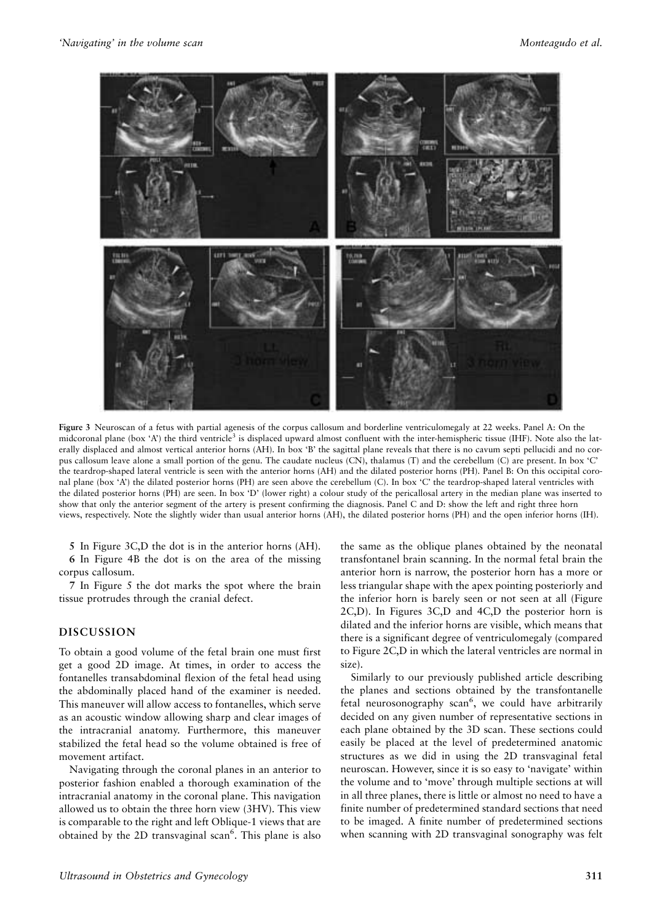

Figure 3 Neuroscan of a fetus with partial agenesis of the corpus callosum and borderline ventriculomegaly at 22 weeks. Panel A: On the midcoronal plane (box 'A') the third ventricle<sup>3</sup> is displaced upward almost confluent with the inter-hemispheric tissue (IHF). Note also the laterally displaced and almost vertical anterior horns (AH). In box 'B' the sagittal plane reveals that there is no cavum septi pellucidi and no corpus callosum leave alone a small portion of the genu. The caudate nucleus (CN), thalamus (T) and the cerebellum (C) are present. In box 'C' the teardrop-shaped lateral ventricle is seen with the anterior horns (AH) and the dilated posterior horns (PH). Panel B: On this occipital coronal plane (box 'A') the dilated posterior horns (PH) are seen above the cerebellum (C). In box 'C' the teardrop-shaped lateral ventricles with the dilated posterior horns (PH) are seen. In box 'D' (lower right) a colour study of the pericallosal artery in the median plane was inserted to show that only the anterior segment of the artery is present confirming the diagnosis. Panel C and D: show the left and right three horn views, respectively. Note the slightly wider than usual anterior horns (AH), the dilated posterior horns (PH) and the open inferior horns (IH).

5 In Figure 3C,D the dot is in the anterior horns (AH).

6 In Figure 4B the dot is on the area of the missing corpus callosum.

7 In Figure 5 the dot marks the spot where the brain tissue protrudes through the cranial defect.

# **DISCUSSION**

To obtain a good volume of the fetal brain one must first get a good 2D image. At times, in order to access the fontanelles transabdominal flexion of the fetal head using the abdominally placed hand of the examiner is needed. This maneuver will allow access to fontanelles, which serve as an acoustic window allowing sharp and clear images of the intracranial anatomy. Furthermore, this maneuver stabilized the fetal head so the volume obtained is free of movement artifact.

Navigating through the coronal planes in an anterior to posterior fashion enabled a thorough examination of the intracranial anatomy in the coronal plane. This navigation allowed us to obtain the three horn view (3HV). This view is comparable to the right and left Oblique-1 views that are obtained by the 2D transvaginal scan<sup>6</sup>. This plane is also

the same as the oblique planes obtained by the neonatal transfontanel brain scanning. In the normal fetal brain the anterior horn is narrow, the posterior horn has a more or less triangular shape with the apex pointing posteriorly and the inferior horn is barely seen or not seen at all (Figure  $2C,D$ ). In Figures  $3C,D$  and  $4C,D$  the posterior horn is dilated and the inferior horns are visible, which means that there is a significant degree of ventriculomegaly (compared to Figure 2C,D in which the lateral ventricles are normal in size).

Similarly to our previously published article describing the planes and sections obtained by the transfontanelle fetal neurosonography scan<sup>6</sup>, we could have arbitrarily decided on any given number of representative sections in each plane obtained by the 3D scan. These sections could easily be placed at the level of predetermined anatomic structures as we did in using the 2D transvaginal fetal neuroscan. However, since it is so easy to 'navigate' within the volume and to 'move' through multiple sections at will in all three planes, there is little or almost no need to have a finite number of predetermined standard sections that need to be imaged. A finite number of predetermined sections when scanning with 2D transvaginal sonography was felt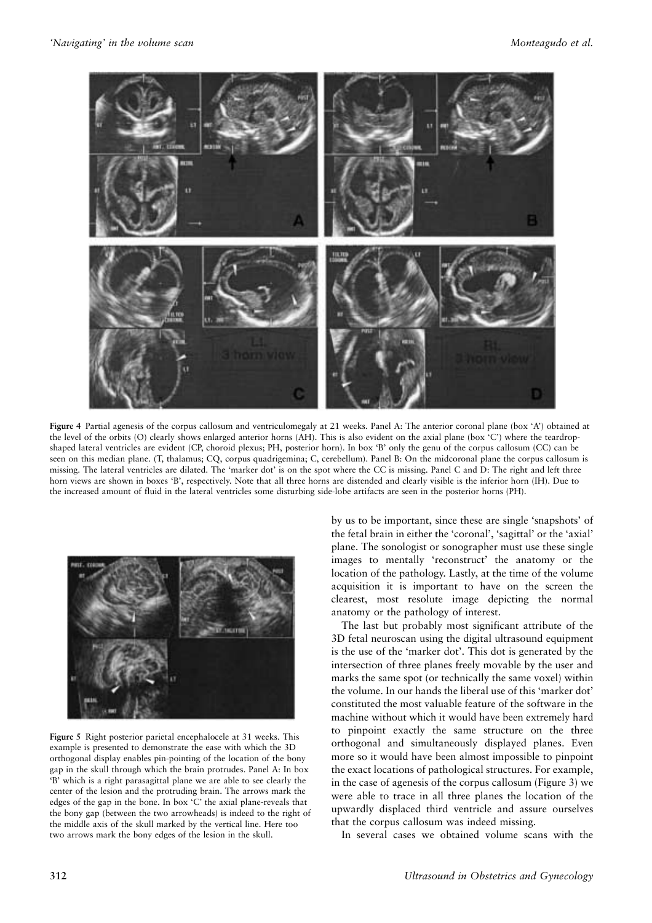

Figure 4 Partial agenesis of the corpus callosum and ventriculomegaly at 21 weeks. Panel A: The anterior coronal plane (box 'A') obtained at the level of the orbits (O) clearly shows enlarged anterior horns (AH). This is also evident on the axial plane (box °C') where the teardropshaped lateral ventricles are evident (CP, choroid plexus; PH, posterior horn). In box 'B' only the genu of the corpus callosum (CC) can be seen on this median plane. (T, thalamus; CQ, corpus quadrigemina; C, cerebellum). Panel B: On the midcoronal plane the corpus callosum is missing. The lateral ventricles are dilated. The 'marker dot' is on the spot where the CC is missing. Panel C and D: The right and left three horn views are shown in boxes 'B', respectively. Note that all three horns are distended and clearly visible is the inferior horn (IH). Due to the increased amount of fluid in the lateral ventricles some disturbing side-lobe artifacts are seen in the posterior horns (PH).



Figure 5 Right posterior parietal encephalocele at 31 weeks. This example is presented to demonstrate the ease with which the 3D orthogonal display enables pin-pointing of the location of the bony gap in the skull through which the brain protrudes. Panel A: In box 'B' which is a right parasagittal plane we are able to see clearly the center of the lesion and the protruding brain. The arrows mark the edges of the gap in the bone. In box 'C' the axial plane-reveals that the bony gap (between the two arrowheads) is indeed to the right of the middle axis of the skull marked by the vertical line. Here too two arrows mark the bony edges of the lesion in the skull.

by us to be important, since these are single 'snapshots' of the fetal brain in either the 'coronal', 'sagittal' or the 'axial' plane. The sonologist or sonographer must use these single images to mentally 'reconstruct' the anatomy or the location of the pathology. Lastly, at the time of the volume acquisition it is important to have on the screen the clearest, most resolute image depicting the normal anatomy or the pathology of interest.

The last but probably most significant attribute of the 3D fetal neuroscan using the digital ultrasound equipment is the use of the 'marker dot'. This dot is generated by the intersection of three planes freely movable by the user and marks the same spot (or technically the same voxel) within the volume. In our hands the liberal use of this 'marker dot' constituted the most valuable feature of the software in the machine without which it would have been extremely hard to pinpoint exactly the same structure on the three orthogonal and simultaneously displayed planes. Even more so it would have been almost impossible to pinpoint the exact locations of pathological structures. For example, in the case of agenesis of the corpus callosum (Figure 3) we were able to trace in all three planes the location of the upwardly displaced third ventricle and assure ourselves that the corpus callosum was indeed missing.

In several cases we obtained volume scans with the